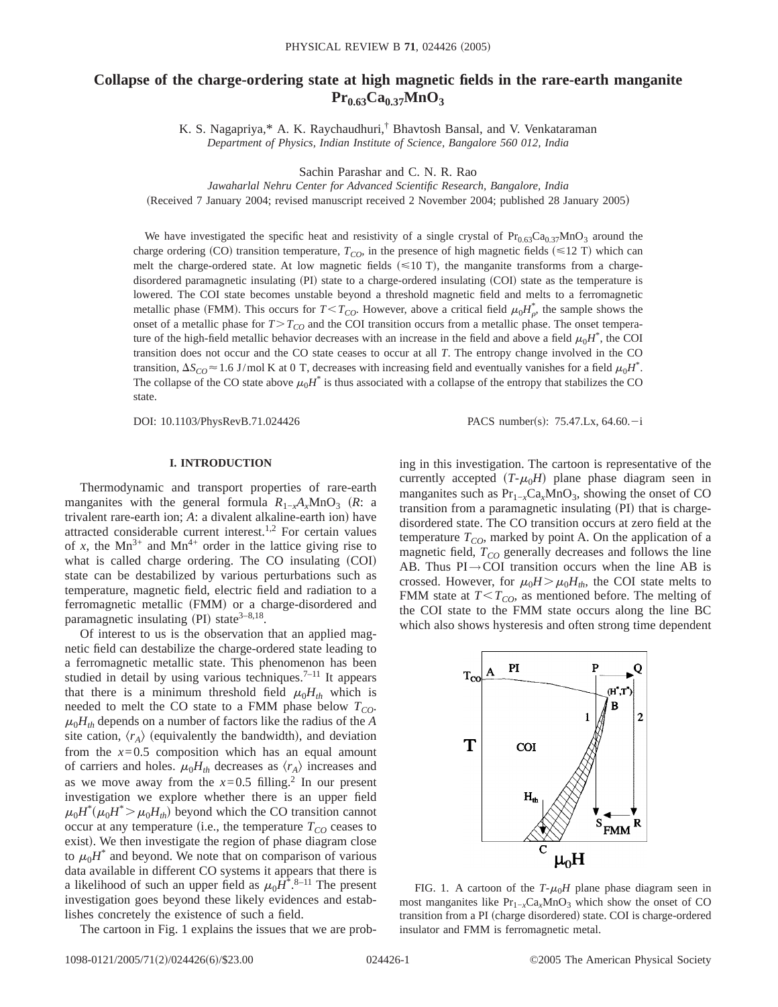# **Collapse of the charge-ordering state at high magnetic fields in the rare-earth manganite**  $Pr_{0.63}Ca_{0.37}MnO_3$

K. S. Nagapriya,\* A. K. Raychaudhuri,† Bhavtosh Bansal, and V. Venkataraman *Department of Physics, Indian Institute of Science, Bangalore 560 012, India*

Sachin Parashar and C. N. R. Rao

*Jawaharlal Nehru Center for Advanced Scientific Research, Bangalore, India*

(Received 7 January 2004; revised manuscript received 2 November 2004; published 28 January 2005)

We have investigated the specific heat and resistivity of a single crystal of  $Pr_{0.63}Ca_{0.37}MnO_3$  around the charge ordering (CO) transition temperature,  $T_{CO}$ , in the presence of high magnetic fields ( $\leq$ 12 T) which can melt the charge-ordered state. At low magnetic fields  $(\leq 10 \text{ T})$ , the manganite transforms from a chargedisordered paramagnetic insulating (PI) state to a charge-ordered insulating (COI) state as the temperature is lowered. The COI state becomes unstable beyond a threshold magnetic field and melts to a ferromagnetic metallic phase (FMM). This occurs for  $T < T_{CO}$ . However, above a critical field  $\mu_0 H_{\rho}^*$ , the sample shows the onset of a metallic phase for  $T>T_{CO}$  and the COI transition occurs from a metallic phase. The onset temperature of the high-field metallic behavior decreases with an increase in the field and above a field  $\mu_0H^*$ , the COI transition does not occur and the CO state ceases to occur at all *T*. The entropy change involved in the CO transition,  $\Delta S_{CO} \approx 1.6$  J/mol K at 0 T, decreases with increasing field and eventually vanishes for a field  $\mu_0 H^*$ . The collapse of the CO state above  $\mu_0 H^*$  is thus associated with a collapse of the entropy that stabilizes the CO state.

DOI: 10.1103/PhysRevB.71.024426 PACS number(s): 75.47.Lx, 64.60.-i

#### **I. INTRODUCTION**

Thermodynamic and transport properties of rare-earth manganites with the general formula  $R_{1-x}A_xMnO_3$  (*R*: a trivalent rare-earth ion; *A*: a divalent alkaline-earth ion) have attracted considerable current interest.<sup>1,2</sup> For certain values of *x*, the  $Mn^{3+}$  and  $Mn^{4+}$  order in the lattice giving rise to what is called charge ordering. The CO insulating (COI) state can be destabilized by various perturbations such as temperature, magnetic field, electric field and radiation to a ferromagnetic metallic (FMM) or a charge-disordered and paramagnetic insulating (PI) state $3-8,18$ .

Of interest to us is the observation that an applied magnetic field can destabilize the charge-ordered state leading to a ferromagnetic metallic state. This phenomenon has been studied in detail by using various techniques.<sup>7-11</sup> It appears that there is a minimum threshold field  $\mu_0 H_{th}$  which is needed to melt the CO state to a FMM phase below  $T_{CO}$ .  $\mu_0 H_{th}$  depends on a number of factors like the radius of the *A* site cation,  $\langle r_A \rangle$  (equivalently the bandwidth), and deviation from the  $x=0.5$  composition which has an equal amount of carriers and holes.  $\mu_0 H_{th}$  decreases as  $\langle r_A \rangle$  increases and as we move away from the  $x=0.5$  filling.<sup>2</sup> In our present investigation we explore whether there is an upper field  $\mu_0 H^* (\mu_0 H^* > \mu_0 H_{th})$  beyond which the CO transition cannot occur at any temperature (i.e., the temperature  $T_{CO}$  ceases to exist). We then investigate the region of phase diagram close to  $\mu_0 H^*$  and beyond. We note that on comparison of various data available in different CO systems it appears that there is a likelihood of such an upper field as  $\mu_0 H^*$ .<sup>8–11</sup> The present investigation goes beyond these likely evidences and establishes concretely the existence of such a field.

The cartoon in Fig. 1 explains the issues that we are prob-

ing in this investigation. The cartoon is representative of the currently accepted  $(T-\mu_0H)$  plane phase diagram seen in manganites such as  $Pr_{1-x}Ca_xMnO_3$ , showing the onset of CO transition from a paramagnetic insulating (PI) that is chargedisordered state. The CO transition occurs at zero field at the temperature  $T_{CO}$ , marked by point A. On the application of a magnetic field,  $T_{CO}$  generally decreases and follows the line AB. Thus  $PI \rightarrow COI$  transition occurs when the line AB is crossed. However, for  $\mu_0 H > \mu_0 H_{th}$ , the COI state melts to FMM state at  $T < T_{CO}$ , as mentioned before. The melting of the COI state to the FMM state occurs along the line BC which also shows hysteresis and often strong time dependent



FIG. 1. A cartoon of the  $T-\mu_0H$  plane phase diagram seen in most manganites like Pr<sub>1−*x*</sub>Ca<sub>*x*</sub>MnO<sub>3</sub> which show the onset of CO transition from a PI (charge disordered) state. COI is charge-ordered insulator and FMM is ferromagnetic metal.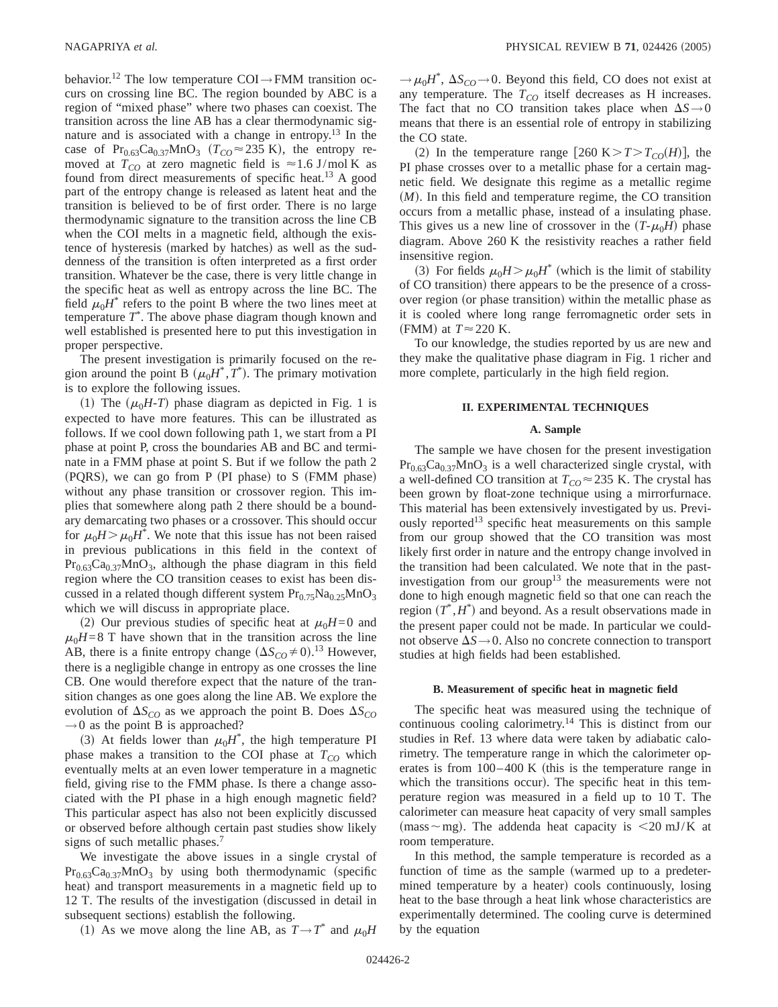behavior.<sup>12</sup> The low temperature COI  $\rightarrow$  FMM transition occurs on crossing line BC. The region bounded by ABC is a region of "mixed phase" where two phases can coexist. The transition across the line AB has a clear thermodynamic signature and is associated with a change in entropy.<sup>13</sup> In the case of Pr<sub>0.63</sub>Ca<sub>0.37</sub>MnO<sub>3</sub> ( $T_{CO} \approx 235$  K), the entropy removed at  $T_{CO}$  at zero magnetic field is  $\approx 1.6$  J/mol K as found from direct measurements of specific heat.<sup>13</sup> A good part of the entropy change is released as latent heat and the transition is believed to be of first order. There is no large thermodynamic signature to the transition across the line CB when the COI melts in a magnetic field, although the existence of hysteresis (marked by hatches) as well as the suddenness of the transition is often interpreted as a first order transition. Whatever be the case, there is very little change in the specific heat as well as entropy across the line BC. The field  $\mu_0 H^*$  refers to the point B where the two lines meet at temperature *T*\* . The above phase diagram though known and well established is presented here to put this investigation in proper perspective.

The present investigation is primarily focused on the region around the point B  $(\mu_0 H^*, T^*)$ . The primary motivation is to explore the following issues.

(1) The  $(\mu_0H-T)$  phase diagram as depicted in Fig. 1 is expected to have more features. This can be illustrated as follows. If we cool down following path 1, we start from a PI phase at point P, cross the boundaries AB and BC and terminate in a FMM phase at point S. But if we follow the path 2  $(PQRS)$ , we can go from P  $(PI phase)$  to S  $(FMM phase)$ without any phase transition or crossover region. This implies that somewhere along path 2 there should be a boundary demarcating two phases or a crossover. This should occur for  $\mu_0 H > \mu_0 H^*$ . We note that this issue has not been raised in previous publications in this field in the context of  $Pr_{0.63}Ca_{0.37}MnO_3$ , although the phase diagram in this field region where the CO transition ceases to exist has been discussed in a related though different system  $Pr<sub>0.75</sub>Na<sub>0.25</sub>MnO<sub>3</sub>$ which we will discuss in appropriate place.

(2) Our previous studies of specific heat at  $\mu_0H=0$  and  $\mu_0H=8$  T have shown that in the transition across the line AB, there is a finite entropy change  $(\Delta S_{CO} \neq 0).^{13}$  However, there is a negligible change in entropy as one crosses the line CB. One would therefore expect that the nature of the transition changes as one goes along the line AB. We explore the evolution of  $\Delta S_{CO}$  as we approach the point B. Does  $\Delta S_{CO}$  $\rightarrow$  0 as the point B is approached?

(3) At fields lower than  $\mu_0 H^*$ , the high temperature PI phase makes a transition to the COI phase at  $T_{CO}$  which eventually melts at an even lower temperature in a magnetic field, giving rise to the FMM phase. Is there a change associated with the PI phase in a high enough magnetic field? This particular aspect has also not been explicitly discussed or observed before although certain past studies show likely signs of such metallic phases.<sup>7</sup>

We investigate the above issues in a single crystal of  $Pr_{0.63}Ca_{0.37}MnO_3$  by using both thermodynamic (specific heat) and transport measurements in a magnetic field up to 12 T. The results of the investigation (discussed in detail in subsequent sections) establish the following.

(1) As we move along the line AB, as  $T \rightarrow T^*$  and  $\mu_0 H$ 

 $\rightarrow \mu_0 H^*$ ,  $\Delta S_{CO} \rightarrow 0$ . Beyond this field, CO does not exist at any temperature. The  $T_{CO}$  itself decreases as H increases. The fact that no CO transition takes place when  $\Delta S \rightarrow 0$ means that there is an essential role of entropy in stabilizing the CO state.

(2) In the temperature range [260 K $>T>T_{CO}(H)$ ], the PI phase crosses over to a metallic phase for a certain magnetic field. We designate this regime as a metallic regime  $(M)$ . In this field and temperature regime, the CO transition occurs from a metallic phase, instead of a insulating phase. This gives us a new line of crossover in the  $(T-\mu_0H)$  phase diagram. Above 260 K the resistivity reaches a rather field insensitive region.

(3) For fields  $\mu_0 H > \mu_0 H^*$  (which is the limit of stability of CO transition) there appears to be the presence of a crossover region (or phase transition) within the metallic phase as it is cooled where long range ferromagnetic order sets in (FMM) at  $T \approx 220$  K.

To our knowledge, the studies reported by us are new and they make the qualitative phase diagram in Fig. 1 richer and more complete, particularly in the high field region.

## **II. EXPERIMENTAL TECHNIQUES**

#### **A. Sample**

The sample we have chosen for the present investigation  $Pr_{0.63}Ca_{0.37}MnO_3$  is a well characterized single crystal, with a well-defined CO transition at  $T_{CO} \approx 235$  K. The crystal has been grown by float-zone technique using a mirrorfurnace. This material has been extensively investigated by us. Previously reported<sup>13</sup> specific heat measurements on this sample from our group showed that the CO transition was most likely first order in nature and the entropy change involved in the transition had been calculated. We note that in the pastinvestigation from our group<sup>13</sup> the measurements were not done to high enough magnetic field so that one can reach the region  $(T^*, H^*)$  and beyond. As a result observations made in the present paper could not be made. In particular we couldnot observe  $\Delta S \rightarrow 0$ . Also no concrete connection to transport studies at high fields had been established.

#### **B. Measurement of specific heat in magnetic field**

The specific heat was measured using the technique of continuous cooling calorimetry.14 This is distinct from our studies in Ref. 13 where data were taken by adiabatic calorimetry. The temperature range in which the calorimeter operates is from  $100-400$  K (this is the temperature range in which the transitions occur). The specific heat in this temperature region was measured in a field up to 10 T. The calorimeter can measure heat capacity of very small samples  $(mass \sim mg)$ . The addenda heat capacity is  $\leq 20$  mJ/K at room temperature.

In this method, the sample temperature is recorded as a function of time as the sample (warmed up to a predetermined temperature by a heater) cools continuously, losing heat to the base through a heat link whose characteristics are experimentally determined. The cooling curve is determined by the equation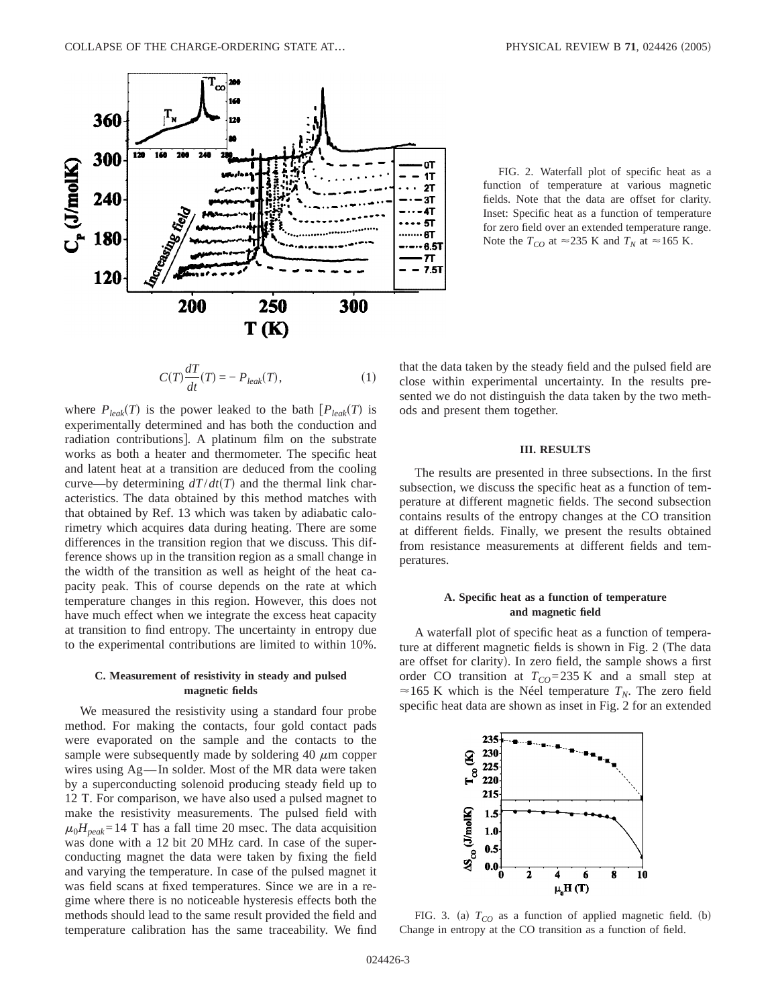

FIG. 2. Waterfall plot of specific heat as a function of temperature at various magnetic fields. Note that the data are offset for clarity. Inset: Specific heat as a function of temperature for zero field over an extended temperature range. Note the  $T_{CO}$  at  $\approx$  235 K and  $T_N$  at  $\approx$  165 K.

$$
C(T)\frac{dT}{dt}(T) = -P_{leak}(T),\tag{1}
$$

where  $P_{leak}(T)$  is the power leaked to the bath  $[P_{leak}(T)]$  is experimentally determined and has both the conduction and radiation contributions]. A platinum film on the substrate works as both a heater and thermometer. The specific heat and latent heat at a transition are deduced from the cooling curve—by determining  $dT/dt(T)$  and the thermal link characteristics. The data obtained by this method matches with that obtained by Ref. 13 which was taken by adiabatic calorimetry which acquires data during heating. There are some differences in the transition region that we discuss. This difference shows up in the transition region as a small change in the width of the transition as well as height of the heat capacity peak. This of course depends on the rate at which temperature changes in this region. However, this does not have much effect when we integrate the excess heat capacity at transition to find entropy. The uncertainty in entropy due to the experimental contributions are limited to within 10%.

#### **C. Measurement of resistivity in steady and pulsed magnetic fields**

We measured the resistivity using a standard four probe method. For making the contacts, four gold contact pads were evaporated on the sample and the contacts to the sample were subsequently made by soldering 40  $\mu$ m copper wires using Ag—In solder. Most of the MR data were taken by a superconducting solenoid producing steady field up to 12 T. For comparison, we have also used a pulsed magnet to make the resistivity measurements. The pulsed field with  $\mu_0 H_{peak} = 14$  T has a fall time 20 msec. The data acquisition was done with a 12 bit 20 MHz card. In case of the superconducting magnet the data were taken by fixing the field and varying the temperature. In case of the pulsed magnet it was field scans at fixed temperatures. Since we are in a regime where there is no noticeable hysteresis effects both the methods should lead to the same result provided the field and temperature calibration has the same traceability. We find that the data taken by the steady field and the pulsed field are close within experimental uncertainty. In the results presented we do not distinguish the data taken by the two methods and present them together.

#### **III. RESULTS**

The results are presented in three subsections. In the first subsection, we discuss the specific heat as a function of temperature at different magnetic fields. The second subsection contains results of the entropy changes at the CO transition at different fields. Finally, we present the results obtained from resistance measurements at different fields and temperatures.

## **A. Specific heat as a function of temperature and magnetic field**

A waterfall plot of specific heat as a function of temperature at different magnetic fields is shown in Fig. 2 (The data are offset for clarity). In zero field, the sample shows a first order CO transition at  $T_{CO} = 235$  K and a small step at  $\approx$  165 K which is the Néel temperature  $T_N$ . The zero field specific heat data are shown as inset in Fig. 2 for an extended



FIG. 3. (a)  $T_{CO}$  as a function of applied magnetic field. (b) Change in entropy at the CO transition as a function of field.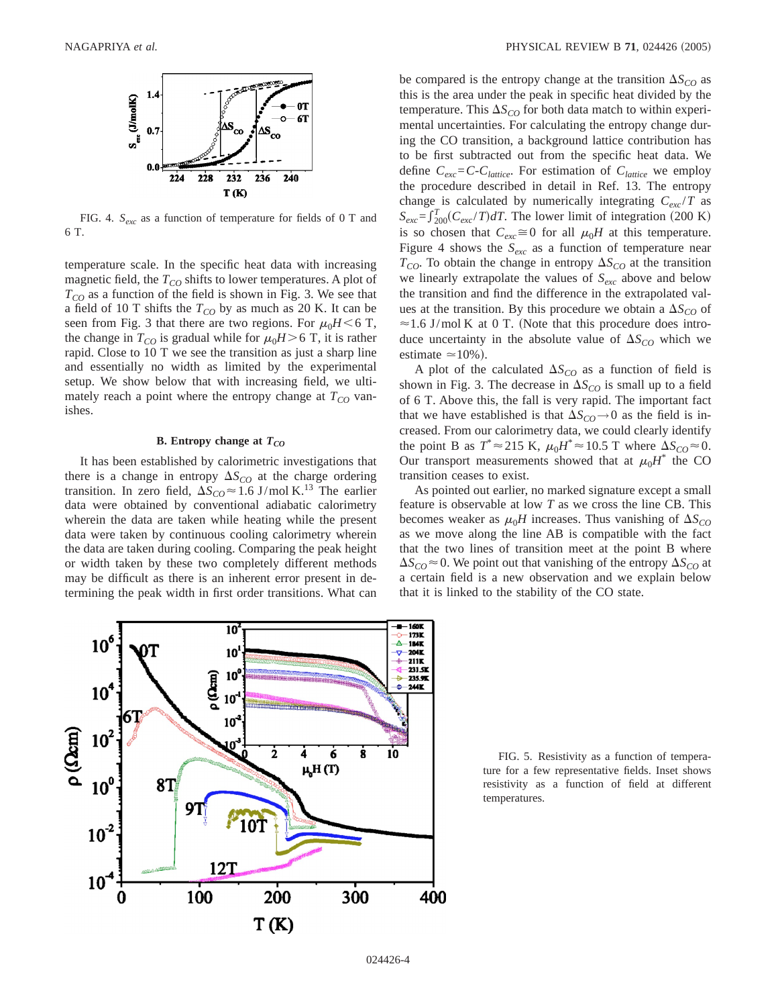

FIG. 4. *Sexc* as a function of temperature for fields of 0 T and 6 T.

temperature scale. In the specific heat data with increasing magnetic field, the  $T_{CO}$  shifts to lower temperatures. A plot of  $T_{CO}$  as a function of the field is shown in Fig. 3. We see that a field of 10 T shifts the  $T_{CO}$  by as much as 20 K. It can be seen from Fig. 3 that there are two regions. For  $\mu_0H < 6$  T, the change in  $T_{CO}$  is gradual while for  $\mu_0H > 6$  T, it is rather rapid. Close to 10 T we see the transition as just a sharp line and essentially no width as limited by the experimental setup. We show below that with increasing field, we ultimately reach a point where the entropy change at  $T_{CO}$  vanishes.

## **B.** Entropy change at  $T_{CO}$

It has been established by calorimetric investigations that there is a change in entropy  $\Delta S_{CO}$  at the charge ordering transition. In zero field,  $\Delta S_{CO} \approx 1.6 \text{ J/mol K}^{13}$  The earlier data were obtained by conventional adiabatic calorimetry wherein the data are taken while heating while the present data were taken by continuous cooling calorimetry wherein the data are taken during cooling. Comparing the peak height or width taken by these two completely different methods may be difficult as there is an inherent error present in determining the peak width in first order transitions. What can

be compared is the entropy change at the transition  $\Delta S_{CO}$  as this is the area under the peak in specific heat divided by the temperature. This  $\Delta S_{CO}$  for both data match to within experimental uncertainties. For calculating the entropy change during the CO transition, a background lattice contribution has to be first subtracted out from the specific heat data. We define  $C_{exc} = C - C_{lattice}$ . For estimation of  $C_{lattice}$  we employ the procedure described in detail in Ref. 13. The entropy change is calculated by numerically integrating  $C_{exc}/T$  as  $S_{exc} = \int_{200}^{T} (C_{exc}/T) dT$ . The lower limit of integration (200 K) is so chosen that  $C_{exc} \cong 0$  for all  $\mu_0H$  at this temperature. Figure 4 shows the  $S_{exc}$  as a function of temperature near  $T_{CO}$ . To obtain the change in entropy  $\Delta S_{CO}$  at the transition we linearly extrapolate the values of *Sexc* above and below the transition and find the difference in the extrapolated values at the transition. By this procedure we obtain a  $\Delta S_{CO}$  of  $\approx$  1.6 J/mol K at 0 T. (Note that this procedure does introduce uncertainty in the absolute value of  $\Delta S_{CO}$  which we estimate  $\simeq$  10%).

A plot of the calculated  $\Delta S_{CO}$  as a function of field is shown in Fig. 3. The decrease in  $\Delta S_{CO}$  is small up to a field of 6 T. Above this, the fall is very rapid. The important fact that we have established is that  $\Delta S_{CO}$   $\rightarrow$  0 as the field is increased. From our calorimetry data, we could clearly identify the point B as  $T^* \approx 215$  K,  $\mu_0 H^* \approx 10.5$  T where  $\Delta S_{CO} \approx 0$ . Our transport measurements showed that at  $\mu_0 H^*$  the CO transition ceases to exist.

As pointed out earlier, no marked signature except a small feature is observable at low *T* as we cross the line CB. This becomes weaker as  $\mu_0H$  increases. Thus vanishing of  $\Delta S_{CO}$ as we move along the line AB is compatible with the fact that the two lines of transition meet at the point B where  $\Delta S_{CO} \approx 0$ . We point out that vanishing of the entropy  $\Delta S_{CO}$  at a certain field is a new observation and we explain below that it is linked to the stability of the CO state.



FIG. 5. Resistivity as a function of temperature for a few representative fields. Inset shows resistivity as a function of field at different temperatures.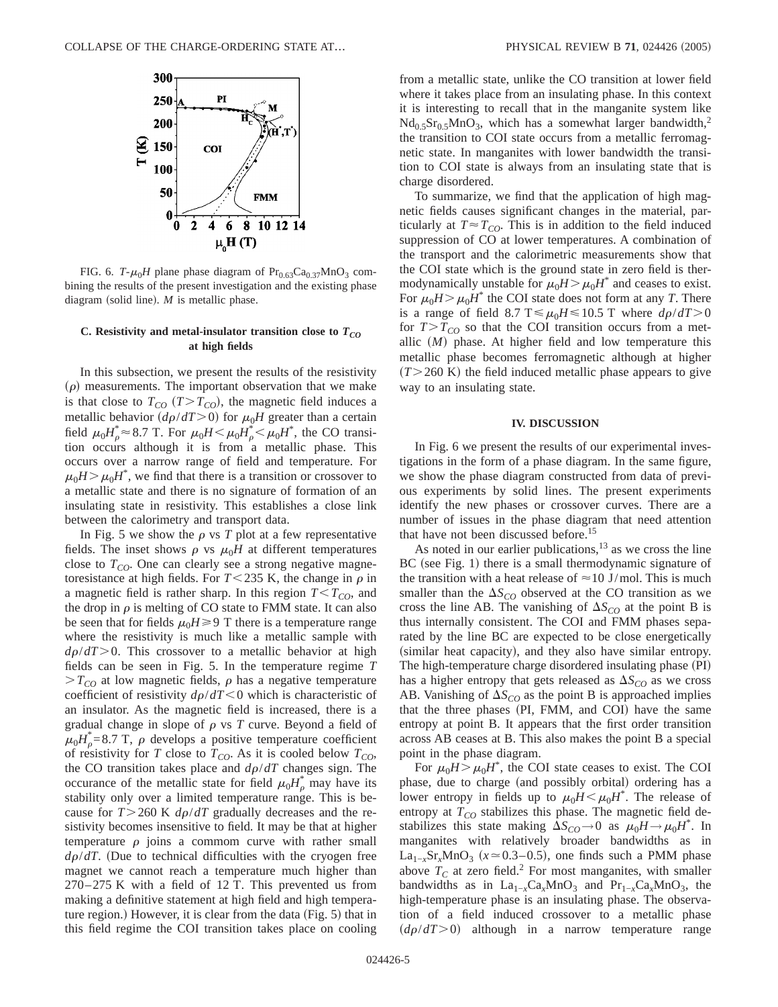

FIG. 6.  $T-\mu_0H$  plane phase diagram of  $Pr_{0.63}Ca_{0.37}MnO_3$  combining the results of the present investigation and the existing phase diagram (solid line).  $M$  is metallic phase.

### C. Resistivity and metal-insulator transition close to  $T_{CO}$ **at high fields**

In this subsection, we present the results of the resistivity  $(\rho)$  measurements. The important observation that we make is that close to  $T_{CO}$  ( $T>T_{CO}$ ), the magnetic field induces a metallic behavior  $(d\rho/dT>0)$  for  $\mu_0H$  greater than a certain field  $\mu_0 H^*_{\rho} \approx 8.7$  T. For  $\mu_0 H \le \mu_0 H^*_{\rho} \le \mu_0 H^*$ , the CO transition occurs although it is from a metallic phase. This occurs over a narrow range of field and temperature. For  $\mu_0 H > \mu_0 H^*$ , we find that there is a transition or crossover to a metallic state and there is no signature of formation of an insulating state in resistivity. This establishes a close link between the calorimetry and transport data.

In Fig. 5 we show the  $\rho$  vs *T* plot at a few representative fields. The inset shows  $\rho$  vs  $\mu_0H$  at different temperatures close to  $T_{CO}$ . One can clearly see a strong negative magnetoresistance at high fields. For  $T < 235$  K, the change in  $\rho$  in a magnetic field is rather sharp. In this region  $T < T_{CO}$ , and the drop in  $\rho$  is melting of CO state to FMM state. It can also be seen that for fields  $\mu_0H \geq 9$  T there is a temperature range where the resistivity is much like a metallic sample with  $d\rho/dT$  > 0. This crossover to a metallic behavior at high fields can be seen in Fig. 5. In the temperature regime *T*  $>T_{CO}$  at low magnetic fields,  $\rho$  has a negative temperature coefficient of resistivity  $d\rho/dT < 0$  which is characteristic of an insulator. As the magnetic field is increased, there is a gradual change in slope of  $\rho$  vs  $T$  curve. Beyond a field of  $\mu_0 H^*_{\rho} = 8.7$  T,  $\rho$  develops a positive temperature coefficient of resistivity for *T* close to  $T_{CO}$ . As it is cooled below  $T_{CO}$ , the CO transition takes place and  $d\rho/dT$  changes sign. The occurance of the metallic state for field  $\mu_0 H_\rho^*$  may have its stability only over a limited temperature range. This is because for  $T > 260$  K  $d\rho/dT$  gradually decreases and the resistivity becomes insensitive to field. It may be that at higher temperature  $\rho$  joins a commom curve with rather small  $d\rho/dT$ . (Due to technical difficulties with the cryogen free magnet we cannot reach a temperature much higher than 270–275 K with a field of 12 T. This prevented us from making a definitive statement at high field and high temperature region.) However, it is clear from the data (Fig.  $5$ ) that in this field regime the COI transition takes place on cooling

from a metallic state, unlike the CO transition at lower field where it takes place from an insulating phase. In this context it is interesting to recall that in the manganite system like  $Nd<sub>0.5</sub>Sr<sub>0.5</sub>MnO<sub>3</sub>$ , which has a somewhat larger bandwidth,<sup>2</sup> the transition to COI state occurs from a metallic ferromagnetic state. In manganites with lower bandwidth the transition to COI state is always from an insulating state that is charge disordered.

To summarize, we find that the application of high magnetic fields causes significant changes in the material, particularly at  $T \approx T_{CO}$ . This is in addition to the field induced suppression of CO at lower temperatures. A combination of the transport and the calorimetric measurements show that the COI state which is the ground state in zero field is thermodynamically unstable for  $\mu_0H > \mu_0H^*$  and ceases to exist. For  $\mu_0 H > \mu_0 H^*$  the COI state does not form at any *T*. There is a range of field 8.7 T  $\leq \mu_0 H \leq 10.5$  T where  $d\rho/dT > 0$ for  $T>T_{CO}$  so that the COI transition occurs from a metallic  $(M)$  phase. At higher field and low temperature this metallic phase becomes ferromagnetic although at higher  $(T>260 \text{ K})$  the field induced metallic phase appears to give way to an insulating state.

#### **IV. DISCUSSION**

In Fig. 6 we present the results of our experimental investigations in the form of a phase diagram. In the same figure, we show the phase diagram constructed from data of previous experiments by solid lines. The present experiments identify the new phases or crossover curves. There are a number of issues in the phase diagram that need attention that have not been discussed before.<sup>15</sup>

As noted in our earlier publications, $13$  as we cross the line  $BC$  (see Fig. 1) there is a small thermodynamic signature of the transition with a heat release of  $\approx$  10 J/mol. This is much smaller than the  $\Delta S_{CO}$  observed at the CO transition as we cross the line AB. The vanishing of  $\Delta S_{CO}$  at the point B is thus internally consistent. The COI and FMM phases separated by the line BC are expected to be close energetically (similar heat capacity), and they also have similar entropy. The high-temperature charge disordered insulating phase (PI) has a higher entropy that gets released as  $\Delta S_{CO}$  as we cross AB. Vanishing of  $\Delta S_{CO}$  as the point B is approached implies that the three phases (PI, FMM, and COI) have the same entropy at point B. It appears that the first order transition across AB ceases at B. This also makes the point B a special point in the phase diagram.

For  $\mu_0 H > \mu_0 H^*$ , the COI state ceases to exist. The COI phase, due to charge (and possibly orbital) ordering has a lower entropy in fields up to  $\mu_0 H \leq \mu_0 H^*$ . The release of entropy at  $T_{CO}$  stabilizes this phase. The magnetic field destabilizes this state making  $\Delta S_{CO} \rightarrow 0$  as  $\mu_0 H \rightarrow \mu_0 H^*$ . In manganites with relatively broader bandwidths as in La<sub>1−*x*</sub>Sr<sub>*x*</sub>MnO<sub>3</sub> ( $x \approx 0.3-0.5$ ), one finds such a PMM phase above  $T_c$  at zero field.<sup>2</sup> For most manganites, with smaller bandwidths as in  $La_{1-x}Ca_xMnO_3$  and  $Pr_{1-x}Ca_xMnO_3$ , the high-temperature phase is an insulating phase. The observation of a field induced crossover to a metallic phase  $(d\rho/dT>0)$  although in a narrow temperature range